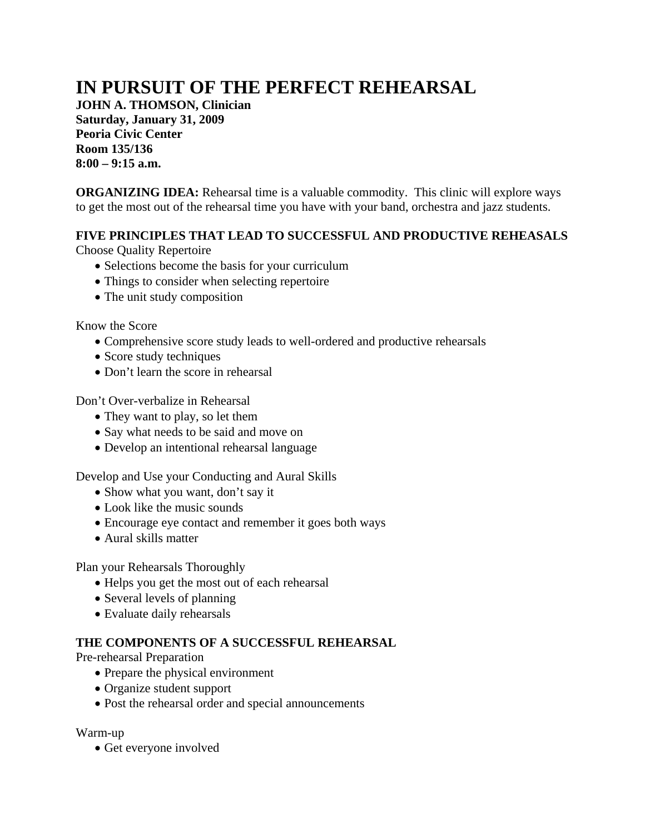# **IN PURSUIT OF THE PERFECT REHEARSAL**

**JOHN A. THOMSON, Clinician Saturday, January 31, 2009 Peoria Civic Center Room 135/136 8:00 – 9:15 a.m.** 

**ORGANIZING IDEA:** Rehearsal time is a valuable commodity. This clinic will explore ways to get the most out of the rehearsal time you have with your band, orchestra and jazz students.

## **FIVE PRINCIPLES THAT LEAD TO SUCCESSFUL AND PRODUCTIVE REHEASALS**

Choose Quality Repertoire

- Selections become the basis for your curriculum
- Things to consider when selecting repertoire
- The unit study composition

Know the Score

- Comprehensive score study leads to well-ordered and productive rehearsals
- Score study techniques
- Don't learn the score in rehearsal

Don't Over-verbalize in Rehearsal

- They want to play, so let them
- Say what needs to be said and move on
- Develop an intentional rehearsal language

Develop and Use your Conducting and Aural Skills

- Show what you want, don't say it
- Look like the music sounds
- Encourage eye contact and remember it goes both ways
- Aural skills matter

Plan your Rehearsals Thoroughly

- Helps you get the most out of each rehearsal
- Several levels of planning
- Evaluate daily rehearsals

## **THE COMPONENTS OF A SUCCESSFUL REHEARSAL**

Pre-rehearsal Preparation

- Prepare the physical environment
- Organize student support
- Post the rehearsal order and special announcements

Warm-up

• Get everyone involved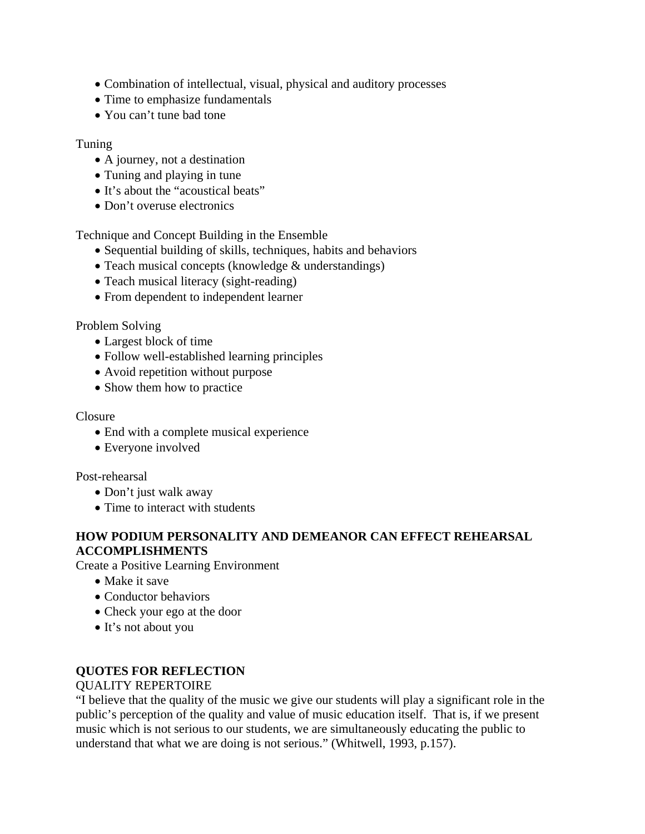- Combination of intellectual, visual, physical and auditory processes
- Time to emphasize fundamentals
- You can't tune bad tone

## Tuning

- A journey, not a destination
- Tuning and playing in tune
- It's about the "acoustical beats"
- Don't overuse electronics

Technique and Concept Building in the Ensemble

- Sequential building of skills, techniques, habits and behaviors
- Teach musical concepts (knowledge & understandings)
- Teach musical literacy (sight-reading)
- From dependent to independent learner

## Problem Solving

- Largest block of time
- Follow well-established learning principles
- Avoid repetition without purpose
- Show them how to practice

#### Closure

- End with a complete musical experience
- Everyone involved

## Post-rehearsal

- Don't just walk away
- Time to interact with students

## **HOW PODIUM PERSONALITY AND DEMEANOR CAN EFFECT REHEARSAL ACCOMPLISHMENTS**

Create a Positive Learning Environment

- Make it save
- Conductor behaviors
- Check your ego at the door
- It's not about you

## **QUOTES FOR REFLECTION**

## QUALITY REPERTOIRE

"I believe that the quality of the music we give our students will play a significant role in the public's perception of the quality and value of music education itself. That is, if we present music which is not serious to our students, we are simultaneously educating the public to understand that what we are doing is not serious." (Whitwell, 1993, p.157).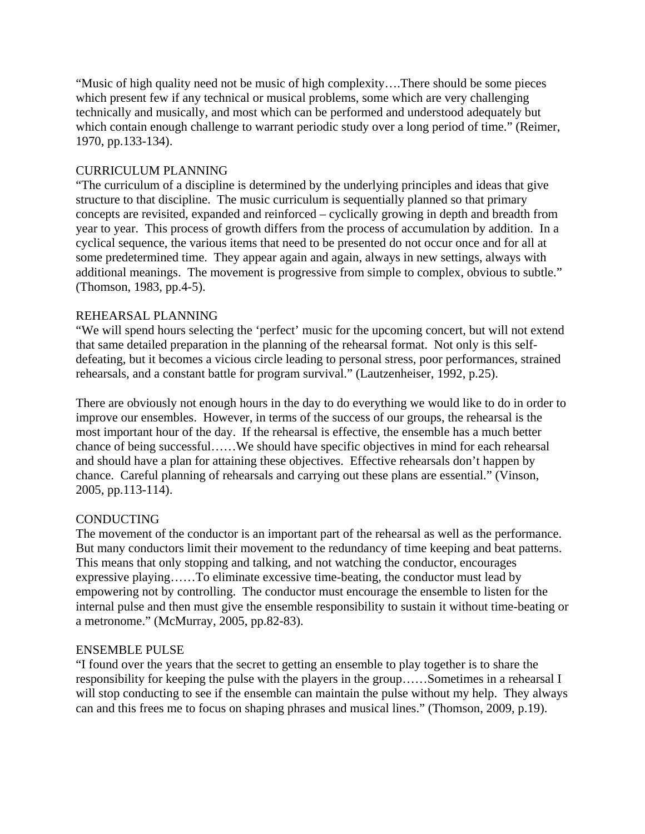"Music of high quality need not be music of high complexity….There should be some pieces which present few if any technical or musical problems, some which are very challenging technically and musically, and most which can be performed and understood adequately but which contain enough challenge to warrant periodic study over a long period of time." (Reimer, 1970, pp.133-134).

## CURRICULUM PLANNING

"The curriculum of a discipline is determined by the underlying principles and ideas that give structure to that discipline. The music curriculum is sequentially planned so that primary concepts are revisited, expanded and reinforced – cyclically growing in depth and breadth from year to year. This process of growth differs from the process of accumulation by addition. In a cyclical sequence, the various items that need to be presented do not occur once and for all at some predetermined time. They appear again and again, always in new settings, always with additional meanings. The movement is progressive from simple to complex, obvious to subtle." (Thomson, 1983, pp.4-5).

## REHEARSAL PLANNING

"We will spend hours selecting the 'perfect' music for the upcoming concert, but will not extend that same detailed preparation in the planning of the rehearsal format. Not only is this selfdefeating, but it becomes a vicious circle leading to personal stress, poor performances, strained rehearsals, and a constant battle for program survival." (Lautzenheiser, 1992, p.25).

There are obviously not enough hours in the day to do everything we would like to do in order to improve our ensembles. However, in terms of the success of our groups, the rehearsal is the most important hour of the day. If the rehearsal is effective, the ensemble has a much better chance of being successful……We should have specific objectives in mind for each rehearsal and should have a plan for attaining these objectives. Effective rehearsals don't happen by chance. Careful planning of rehearsals and carrying out these plans are essential." (Vinson, 2005, pp.113-114).

## **CONDUCTING**

The movement of the conductor is an important part of the rehearsal as well as the performance. But many conductors limit their movement to the redundancy of time keeping and beat patterns. This means that only stopping and talking, and not watching the conductor, encourages expressive playing……To eliminate excessive time-beating, the conductor must lead by empowering not by controlling. The conductor must encourage the ensemble to listen for the internal pulse and then must give the ensemble responsibility to sustain it without time-beating or a metronome." (McMurray, 2005, pp.82-83).

## ENSEMBLE PULSE

"I found over the years that the secret to getting an ensemble to play together is to share the responsibility for keeping the pulse with the players in the group……Sometimes in a rehearsal I will stop conducting to see if the ensemble can maintain the pulse without my help. They always can and this frees me to focus on shaping phrases and musical lines." (Thomson, 2009, p.19).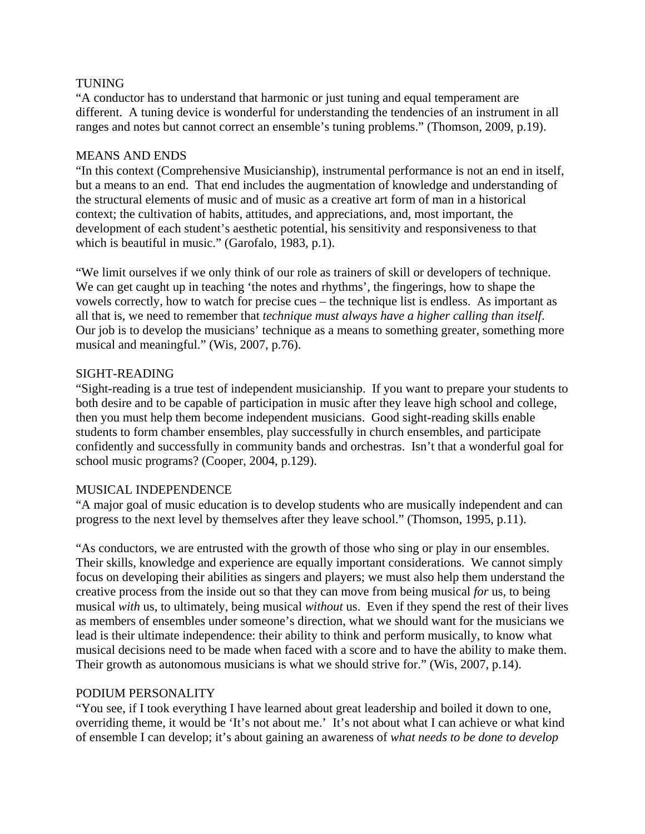## TUNING

"A conductor has to understand that harmonic or just tuning and equal temperament are different. A tuning device is wonderful for understanding the tendencies of an instrument in all ranges and notes but cannot correct an ensemble's tuning problems." (Thomson, 2009, p.19).

## MEANS AND ENDS

"In this context (Comprehensive Musicianship), instrumental performance is not an end in itself, but a means to an end. That end includes the augmentation of knowledge and understanding of the structural elements of music and of music as a creative art form of man in a historical context; the cultivation of habits, attitudes, and appreciations, and, most important, the development of each student's aesthetic potential, his sensitivity and responsiveness to that which is beautiful in music." (Garofalo, 1983, p.1).

"We limit ourselves if we only think of our role as trainers of skill or developers of technique. We can get caught up in teaching 'the notes and rhythms', the fingerings, how to shape the vowels correctly, how to watch for precise cues – the technique list is endless. As important as all that is, we need to remember that *technique must always have a higher calling than itself*. Our job is to develop the musicians' technique as a means to something greater, something more musical and meaningful." (Wis, 2007, p.76).

## SIGHT-READING

"Sight-reading is a true test of independent musicianship. If you want to prepare your students to both desire and to be capable of participation in music after they leave high school and college, then you must help them become independent musicians. Good sight-reading skills enable students to form chamber ensembles, play successfully in church ensembles, and participate confidently and successfully in community bands and orchestras. Isn't that a wonderful goal for school music programs? (Cooper, 2004, p.129).

## MUSICAL INDEPENDENCE

"A major goal of music education is to develop students who are musically independent and can progress to the next level by themselves after they leave school." (Thomson, 1995, p.11).

"As conductors, we are entrusted with the growth of those who sing or play in our ensembles. Their skills, knowledge and experience are equally important considerations. We cannot simply focus on developing their abilities as singers and players; we must also help them understand the creative process from the inside out so that they can move from being musical *for* us, to being musical *with* us, to ultimately, being musical *without* us. Even if they spend the rest of their lives as members of ensembles under someone's direction, what we should want for the musicians we lead is their ultimate independence: their ability to think and perform musically, to know what musical decisions need to be made when faced with a score and to have the ability to make them. Their growth as autonomous musicians is what we should strive for." (Wis, 2007, p.14).

## PODIUM PERSONALITY

"You see, if I took everything I have learned about great leadership and boiled it down to one, overriding theme, it would be 'It's not about me.' It's not about what I can achieve or what kind of ensemble I can develop; it's about gaining an awareness of *what needs to be done to develop*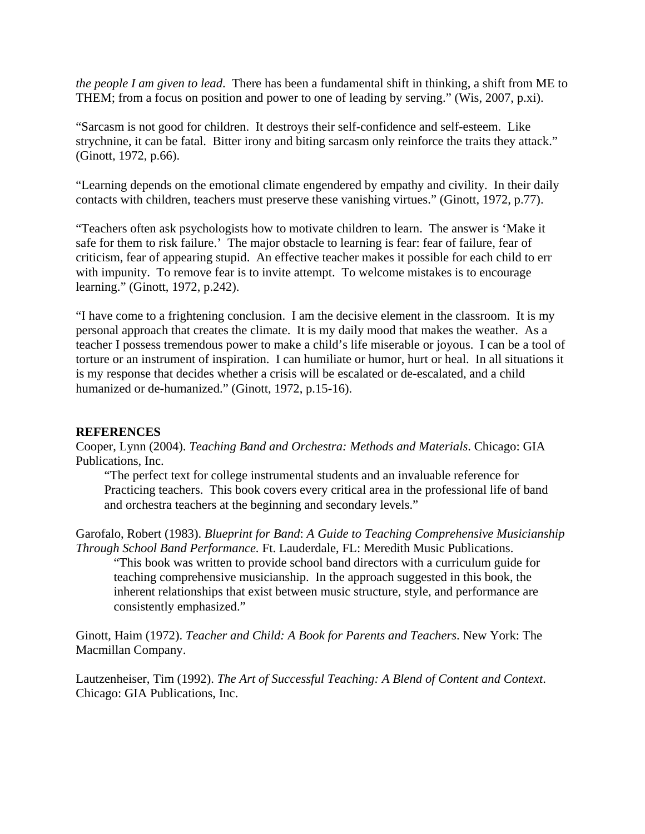*the people I am given to lead*. There has been a fundamental shift in thinking, a shift from ME to THEM; from a focus on position and power to one of leading by serving." (Wis, 2007, p.xi).

"Sarcasm is not good for children. It destroys their self-confidence and self-esteem. Like strychnine, it can be fatal. Bitter irony and biting sarcasm only reinforce the traits they attack." (Ginott, 1972, p.66).

"Learning depends on the emotional climate engendered by empathy and civility. In their daily contacts with children, teachers must preserve these vanishing virtues." (Ginott, 1972, p.77).

"Teachers often ask psychologists how to motivate children to learn. The answer is 'Make it safe for them to risk failure.' The major obstacle to learning is fear: fear of failure, fear of criticism, fear of appearing stupid. An effective teacher makes it possible for each child to err with impunity. To remove fear is to invite attempt. To welcome mistakes is to encourage learning." (Ginott, 1972, p.242).

"I have come to a frightening conclusion. I am the decisive element in the classroom. It is my personal approach that creates the climate. It is my daily mood that makes the weather. As a teacher I possess tremendous power to make a child's life miserable or joyous. I can be a tool of torture or an instrument of inspiration. I can humiliate or humor, hurt or heal. In all situations it is my response that decides whether a crisis will be escalated or de-escalated, and a child humanized or de-humanized." (Ginott, 1972, p.15-16).

## **REFERENCES**

Cooper, Lynn (2004). *Teaching Band and Orchestra: Methods and Materials*. Chicago: GIA Publications, Inc.

"The perfect text for college instrumental students and an invaluable reference for Practicing teachers. This book covers every critical area in the professional life of band and orchestra teachers at the beginning and secondary levels."

Garofalo, Robert (1983). *Blueprint for Band*: *A Guide to Teaching Comprehensive Musicianship Through School Band Performance.* Ft. Lauderdale, FL: Meredith Music Publications.

"This book was written to provide school band directors with a curriculum guide for teaching comprehensive musicianship. In the approach suggested in this book, the inherent relationships that exist between music structure, style, and performance are consistently emphasized."

Ginott, Haim (1972). *Teacher and Child: A Book for Parents and Teachers*. New York: The Macmillan Company.

Lautzenheiser, Tim (1992). *The Art of Successful Teaching: A Blend of Content and Context*. Chicago: GIA Publications, Inc.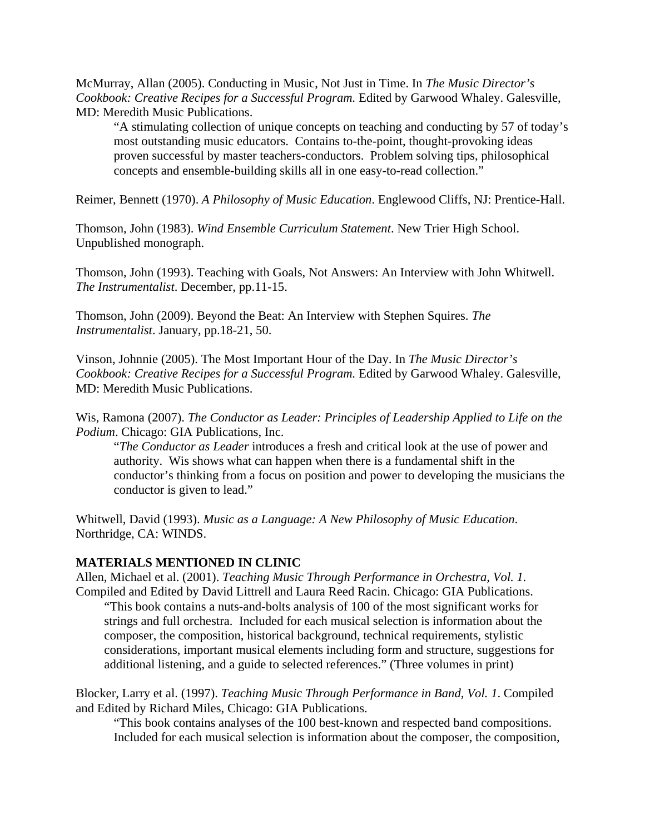McMurray, Allan (2005). Conducting in Music, Not Just in Time. In *The Music Director's Cookbook: Creative Recipes for a Successful Program.* Edited by Garwood Whaley. Galesville, MD: Meredith Music Publications.

"A stimulating collection of unique concepts on teaching and conducting by 57 of today's most outstanding music educators. Contains to-the-point, thought-provoking ideas proven successful by master teachers-conductors. Problem solving tips, philosophical concepts and ensemble-building skills all in one easy-to-read collection."

Reimer, Bennett (1970). *A Philosophy of Music Education*. Englewood Cliffs, NJ: Prentice-Hall.

Thomson, John (1983). *Wind Ensemble Curriculum Statement*. New Trier High School. Unpublished monograph.

Thomson, John (1993). Teaching with Goals, Not Answers: An Interview with John Whitwell. *The Instrumentalist*. December, pp.11-15.

Thomson, John (2009). Beyond the Beat: An Interview with Stephen Squires. *The Instrumentalist*. January, pp.18-21, 50.

Vinson, Johnnie (2005). The Most Important Hour of the Day. In *The Music Director's Cookbook: Creative Recipes for a Successful Program.* Edited by Garwood Whaley. Galesville, MD: Meredith Music Publications.

Wis, Ramona (2007). *The Conductor as Leader: Principles of Leadership Applied to Life on the Podium*. Chicago: GIA Publications, Inc.

"*The Conductor as Leader* introduces a fresh and critical look at the use of power and authority. Wis shows what can happen when there is a fundamental shift in the conductor's thinking from a focus on position and power to developing the musicians the conductor is given to lead."

Whitwell, David (1993). *Music as a Language: A New Philosophy of Music Education*. Northridge, CA: WINDS.

## **MATERIALS MENTIONED IN CLINIC**

Allen, Michael et al. (2001). *Teaching Music Through Performance in Orchestra, Vol. 1.* Compiled and Edited by David Littrell and Laura Reed Racin. Chicago: GIA Publications.

"This book contains a nuts-and-bolts analysis of 100 of the most significant works for strings and full orchestra. Included for each musical selection is information about the composer, the composition, historical background, technical requirements, stylistic considerations, important musical elements including form and structure, suggestions for additional listening, and a guide to selected references." (Three volumes in print)

Blocker, Larry et al. (1997). *Teaching Music Through Performance in Band, Vol. 1*. Compiled and Edited by Richard Miles, Chicago: GIA Publications.

"This book contains analyses of the 100 best-known and respected band compositions. Included for each musical selection is information about the composer, the composition,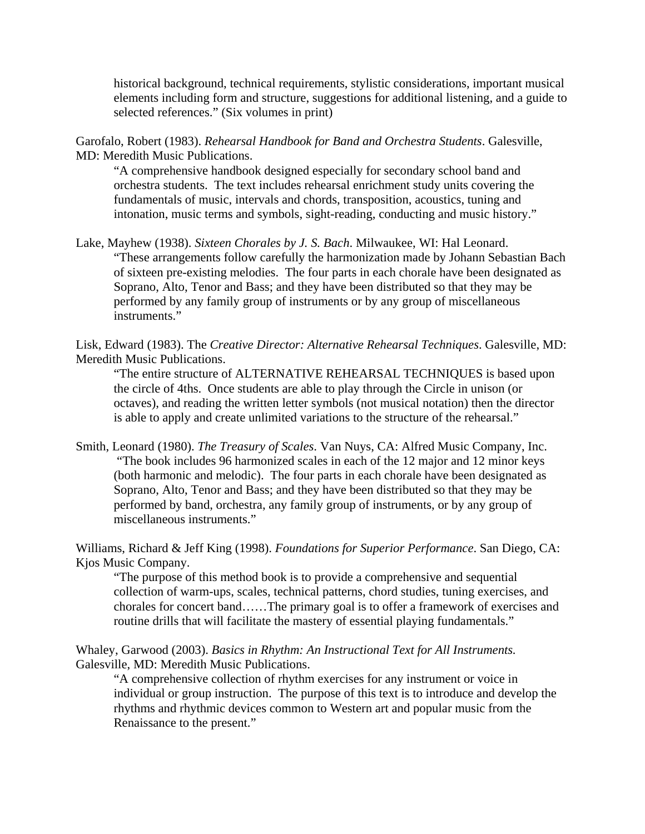historical background, technical requirements, stylistic considerations, important musical elements including form and structure, suggestions for additional listening, and a guide to selected references." (Six volumes in print)

Garofalo, Robert (1983). *Rehearsal Handbook for Band and Orchestra Students*. Galesville, MD: Meredith Music Publications.

"A comprehensive handbook designed especially for secondary school band and orchestra students. The text includes rehearsal enrichment study units covering the fundamentals of music, intervals and chords, transposition, acoustics, tuning and intonation, music terms and symbols, sight-reading, conducting and music history."

Lake, Mayhew (1938). *Sixteen Chorales by J. S. Bach*. Milwaukee, WI: Hal Leonard. "These arrangements follow carefully the harmonization made by Johann Sebastian Bach of sixteen pre-existing melodies. The four parts in each chorale have been designated as Soprano, Alto, Tenor and Bass; and they have been distributed so that they may be performed by any family group of instruments or by any group of miscellaneous instruments."

Lisk, Edward (1983). The *Creative Director: Alternative Rehearsal Techniques*. Galesville, MD: Meredith Music Publications.

"The entire structure of ALTERNATIVE REHEARSAL TECHNIQUES is based upon the circle of 4ths. Once students are able to play through the Circle in unison (or octaves), and reading the written letter symbols (not musical notation) then the director is able to apply and create unlimited variations to the structure of the rehearsal."

Smith, Leonard (1980). *The Treasury of Scales*. Van Nuys, CA: Alfred Music Company, Inc. "The book includes 96 harmonized scales in each of the 12 major and 12 minor keys (both harmonic and melodic). The four parts in each chorale have been designated as Soprano, Alto, Tenor and Bass; and they have been distributed so that they may be performed by band, orchestra, any family group of instruments, or by any group of miscellaneous instruments."

Williams, Richard & Jeff King (1998). *Foundations for Superior Performance*. San Diego, CA: Kjos Music Company.

"The purpose of this method book is to provide a comprehensive and sequential collection of warm-ups, scales, technical patterns, chord studies, tuning exercises, and chorales for concert band……The primary goal is to offer a framework of exercises and routine drills that will facilitate the mastery of essential playing fundamentals."

Whaley, Garwood (2003). *Basics in Rhythm: An Instructional Text for All Instruments.*  Galesville, MD: Meredith Music Publications.

"A comprehensive collection of rhythm exercises for any instrument or voice in individual or group instruction. The purpose of this text is to introduce and develop the rhythms and rhythmic devices common to Western art and popular music from the Renaissance to the present."